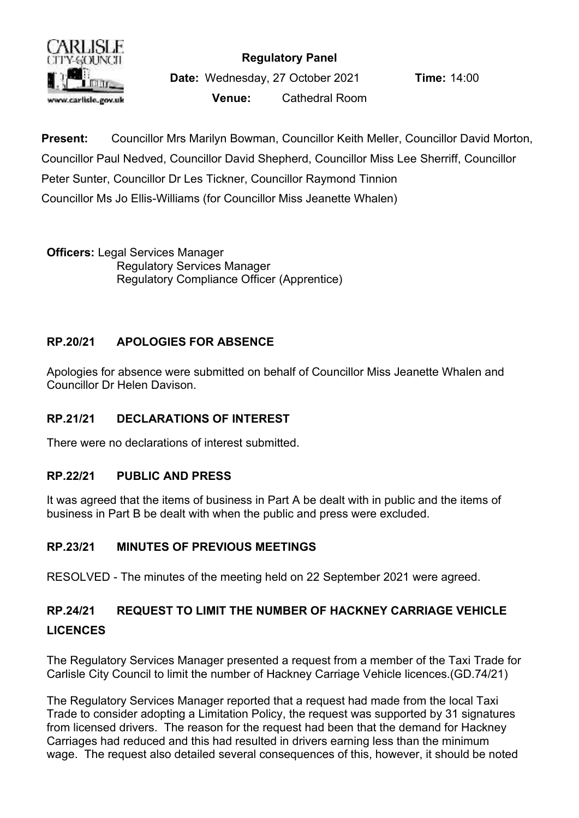

### **Regulatory Panel**

**Date:** Wednesday, 27 October 2021 **Time:** 14:00 **Venue:** Cathedral Room

**Present:** Councillor Mrs Marilyn Bowman, Councillor Keith Meller, Councillor David Morton, Councillor Paul Nedved, Councillor David Shepherd, Councillor Miss Lee Sherriff, Councillor Peter Sunter, Councillor Dr Les Tickner, Councillor Raymond Tinnion Councillor Ms Jo Ellis-Williams (for Councillor Miss Jeanette Whalen)

**Officers:** Legal Services Manager Regulatory Services Manager Regulatory Compliance Officer (Apprentice)

## **RP.20/21 APOLOGIES FOR ABSENCE**

Apologies for absence were submitted on behalf of Councillor Miss Jeanette Whalen and Councillor Dr Helen Davison.

### **RP.21/21 DECLARATIONS OF INTEREST**

There were no declarations of interest submitted.

### **RP.22/21 PUBLIC AND PRESS**

It was agreed that the items of business in Part A be dealt with in public and the items of business in Part B be dealt with when the public and press were excluded.

## **RP.23/21 MINUTES OF PREVIOUS MEETINGS**

RESOLVED - The minutes of the meeting held on 22 September 2021 were agreed.

# **RP.24/21 REQUEST TO LIMIT THE NUMBER OF HACKNEY CARRIAGE VEHICLE LICENCES**

The Regulatory Services Manager presented a request from a member of the Taxi Trade for Carlisle City Council to limit the number of Hackney Carriage Vehicle licences.(GD.74/21)

The Regulatory Services Manager reported that a request had made from the local Taxi Trade to consider adopting a Limitation Policy, the request was supported by 31 signatures from licensed drivers. The reason for the request had been that the demand for Hackney Carriages had reduced and this had resulted in drivers earning less than the minimum wage. The request also detailed several consequences of this, however, it should be noted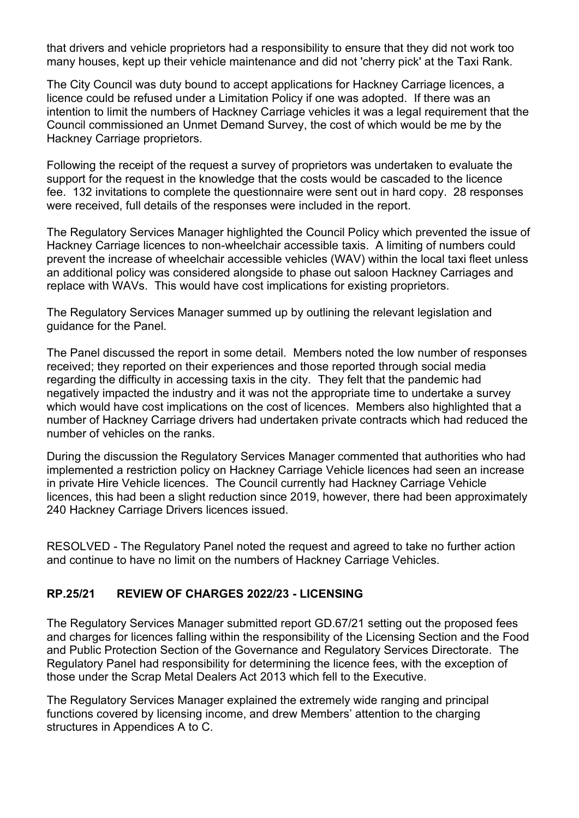that drivers and vehicle proprietors had a responsibility to ensure that they did not work too many houses, kept up their vehicle maintenance and did not 'cherry pick' at the Taxi Rank.

The City Council was duty bound to accept applications for Hackney Carriage licences, a licence could be refused under a Limitation Policy if one was adopted. If there was an intention to limit the numbers of Hackney Carriage vehicles it was a legal requirement that the Council commissioned an Unmet Demand Survey, the cost of which would be me by the Hackney Carriage proprietors.

Following the receipt of the request a survey of proprietors was undertaken to evaluate the support for the request in the knowledge that the costs would be cascaded to the licence fee. 132 invitations to complete the questionnaire were sent out in hard copy. 28 responses were received, full details of the responses were included in the report.

The Regulatory Services Manager highlighted the Council Policy which prevented the issue of Hackney Carriage licences to non-wheelchair accessible taxis. A limiting of numbers could prevent the increase of wheelchair accessible vehicles (WAV) within the local taxi fleet unless an additional policy was considered alongside to phase out saloon Hackney Carriages and replace with WAVs. This would have cost implications for existing proprietors.

The Regulatory Services Manager summed up by outlining the relevant legislation and guidance for the Panel.

The Panel discussed the report in some detail. Members noted the low number of responses received; they reported on their experiences and those reported through social media regarding the difficulty in accessing taxis in the city. They felt that the pandemic had negatively impacted the industry and it was not the appropriate time to undertake a survey which would have cost implications on the cost of licences. Members also highlighted that a number of Hackney Carriage drivers had undertaken private contracts which had reduced the number of vehicles on the ranks.

During the discussion the Regulatory Services Manager commented that authorities who had implemented a restriction policy on Hackney Carriage Vehicle licences had seen an increase in private Hire Vehicle licences. The Council currently had Hackney Carriage Vehicle licences, this had been a slight reduction since 2019, however, there had been approximately 240 Hackney Carriage Drivers licences issued.

RESOLVED - The Regulatory Panel noted the request and agreed to take no further action and continue to have no limit on the numbers of Hackney Carriage Vehicles.

### **RP.25/21 REVIEW OF CHARGES 2022/23 - LICENSING**

The Regulatory Services Manager submitted report GD.67/21 setting out the proposed fees and charges for licences falling within the responsibility of the Licensing Section and the Food and Public Protection Section of the Governance and Regulatory Services Directorate. The Regulatory Panel had responsibility for determining the licence fees, with the exception of those under the Scrap Metal Dealers Act 2013 which fell to the Executive.

The Regulatory Services Manager explained the extremely wide ranging and principal functions covered by licensing income, and drew Members' attention to the charging structures in Appendices A to C.